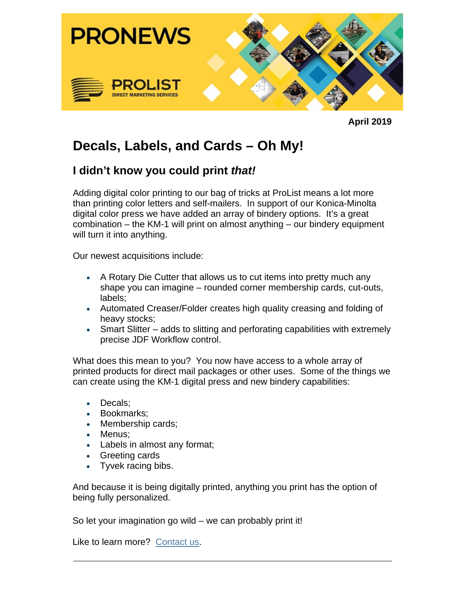

**April 2019**

## **Decals, Labels, and Cards – Oh My!**

## **I didn't know you could print** *that!*

Adding digital color printing to our bag of tricks at ProList means a lot more than printing color letters and self-mailers. In support of our Konica-Minolta digital color press we have added an array of bindery options. It's a great combination – the KM-1 will print on almost anything – our bindery equipment will turn it into anything.

Our newest acquisitions include:

- A Rotary Die Cutter that allows us to cut items into pretty much any shape you can imagine – rounded corner membership cards, cut-outs, labels;
- Automated Creaser/Folder creates high quality creasing and folding of heavy stocks;
- Smart Slitter adds to slitting and perforating capabilities with extremely precise JDF Workflow control.

What does this mean to you? You now have access to a whole array of printed products for direct mail packages or other uses. Some of the things we can create using the KM-1 digital press and new bindery capabilities:

- Decals;
- Bookmarks;
- Membership cards;
- Menus;
- Labels in almost any format;
- Greeting cards
- Tyvek racing bibs.

And because it is being digitally printed, anything you print has the option of being fully personalized.

So let your imagination go wild – we can probably print it!

Like to learn more? Contact us.